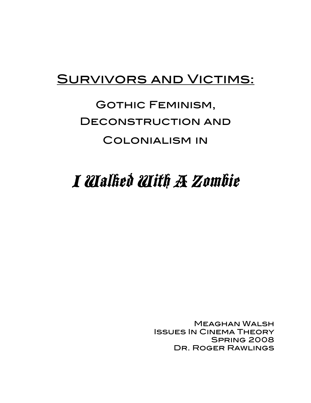### Survivors and Victims:

## Gothic Feminism, Deconstruction and Colonialism in

# I Walked With A Zombie

Meaghan Walsh Issues In Cinema Theory Spring 2008 Dr. Roger Rawlings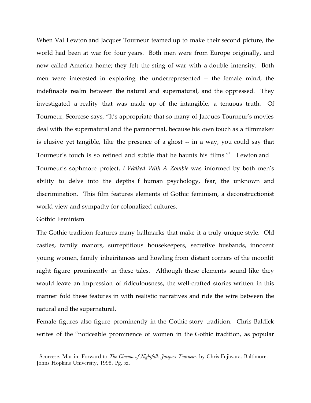When Val Lewton and Jacques Tourneur teamed up to make their second picture, the world had been at war for four years. Both men were from Europe originally, and now called America home; they felt the sting of war with a double intensity. Both men were interested in exploring the underrepresented -- the female mind, the indefinable realm between the natural and supernatural, and the oppressed. They investigated a reality that was made up of the intangible, a tenuous truth. Of Tourneur, Scorcese says, "It's appropriate that so many of Jacques Tourneur's movies deal with the supernatural and the paranormal, because his own touch as a filmmaker is elusive yet tangible, like the presence of a ghost -- in a way, you could say that Tourneur's touch is so refined and subtle that he haunts his films."<sup>1</sup> Lewton and Tourneur's sophmore project, *I Walked With A Zombie* was informed by both men's ability to delve into the depths f human psychology, fear, the unknown and discrimination. This film features elements of Gothic feminism, a deconstructionist world view and sympathy for colonalized cultures.

#### Gothic Feminism

The Gothic tradition features many hallmarks that make it a truly unique style. Old castles, family manors, surreptitious housekeepers, secretive husbands, innocent young women, family inheiritances and howling from distant corners of the moonlit night figure prominently in these tales. Although these elements sound like they would leave an impression of ridiculousness, the well-crafted stories written in this manner fold these features in with realistic narratives and ride the wire between the natural and the supernatural.

Female figures also figure prominently in the Gothic story tradition. Chris Baldick writes of the "noticeable prominence of women in the Gothic tradition, as popular

<sup>&</sup>lt;sup>1</sup> Scorcese, Martin. Forward to *The Cinema of Nightfall: Jacques Tourneur*, by Chris Fujiwara. Baltimore: Johns Hopkins University, 1998. Pg. xi.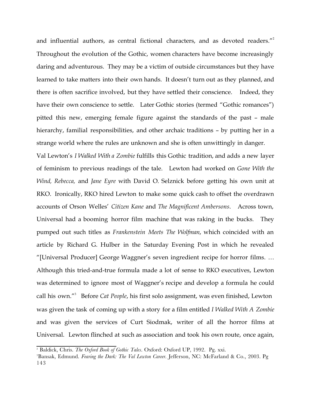and influential authors, as central fictional characters, and as devoted readers."<sup>2</sup> Throughout the evolution of the Gothic, women characters have become increasingly daring and adventurous. They may be a victim of outside circumstances but they have learned to take matters into their own hands. It doesn't turn out as they planned, and there is often sacrifice involved, but they have settled their conscience. Indeed, they have their own conscience to settle. Later Gothic stories (termed "Gothic romances") pitted this new, emerging female figure against the standards of the past – male hierarchy, familial responsibilities, and other archaic traditions - by putting her in a strange world where the rules are unknown and she is often unwittingly in danger.

Val Lewton's *I Walked With a Zombie* fulfills this Gothic tradition, and adds a new layer of feminism to previous readings of the tale. Lewton had worked on *Gone With the Wind, Rebecca,* and *Jane Eyre* with David O. Selznick before getting his own unit at RKO. Ironically, RKO hired Lewton to make some quick cash to offset the overdrawn accounts of Orson Welles' *Citizen Kane* and *The Magnificent Ambersons*. Across town, Universal had a booming horror film machine that was raking in the bucks. They pumped out such titles as *Frankenstein Meets The Wolfman*, which coincided with an article by Richard G. Hulber in the Saturday Evening Post in which he revealed "[Universal Producer] George Waggner's seven ingredient recipe for horror films. … Although this tried-and-true formula made a lot of sense to RKO executives, Lewton was determined to ignore most of Waggner's recipe and develop a formula he could call his own."3 Before *Cat People*, his first solo assignment, was even finished, Lewton was given the task of coming up with a story for a film entitled *I Walked With A Zombie* and was given the services of Curt Siodmak, writer of all the horror films at Universal. Lewton flinched at such as association and took his own route, once again,

<sup>&</sup>lt;sup>2</sup> Baldick, Chris. *The Oxford Book of Gothic Tales*. Oxford: Oxford UP, 1992. Pg. xxi.

<sup>&</sup>lt;sup>3</sup>Bansak, Edmund. *Fearing the Dark: The Val Lewton Career*. Jefferson, NC: McFarland & Co., 2003. Pg 143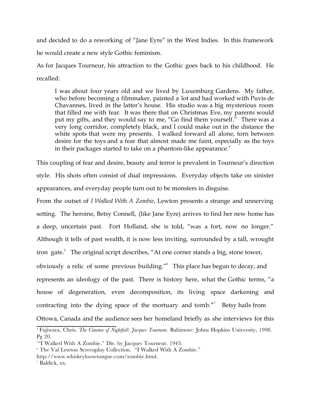and decided to do a reworking of "Jane Eyre" in the West Indies. In this framework he would create a new style Gothic feminism.

As for Jacques Tourneur, his attraction to the Gothic goes back to his childhood. He recalled:

I was about four years old and we lived by Luxemburg Gardens. My father, who before becoming a filmmaker, painted a lot and had worked with Puvis de Chavannes, lived in the latter's house. His studio was a big mysterious room that filled me with fear. It was there that on Christmas Eve, my parents would put my gifts, and they would say to me, "Go find them yourself." There was a very long corridor, completely black, and I could make out in the distance the white spots that were my presents. I walked forward all alone, torn between desire for the toys and a fear that almost made me faint, especially as the toys in their packages started to take on a phantom-like appearance.<sup>4</sup>

This coupling of fear and desire, beauty and terror is prevalent in Tourneur's direction style. His shots often consist of dual impressions. Everyday objects take on sinister appearances, and everyday people turn out to be monsters in disguise.

From the outset of *I Walked With A Zombie*, Lewton presents a strange and unnerving setting. The heroine, Betsy Connell, (like Jane Eyre) arrives to find her new home has a deep, uncertain past. Fort Holland, she is told, "was a fort, now no longer." Although it tells of past wealth, it is now less inviting, surrounded by a tall, wrought iron gate.<sup>5</sup> The original script describes, "At one corner stands a big, stone tower, obviously a relic of some previous building."<sup>6</sup> This place has begun to decay, and represents an ideology of the past. There is history here, what the Gothic terms, "a house of degeneration, even decomposition, its living space darkening and contracting into the dying space of the mortuary and tomb."<sup>7</sup> Betsy hails from Ottowa, Canada and the audience sees her homeland briefly as she interviews for this

<sup>&</sup>lt;sup>4</sup> Fujiwara, Chris. *The Cinema of Nightfall: Jacques Tourneur.* Baltimore: Johns Hopkins University, 1998. Pg 20.

<sup>5</sup> "I Walked With A Zombie." Dir. by Jacques Tourneur. 1943.

<sup>6</sup> The Val Lewton Screenplay Collection. "I Walked With A Zombie."

http://www.whiskeyloosetongue.com/zombie.html.

<sup>7</sup> Baldick, xx.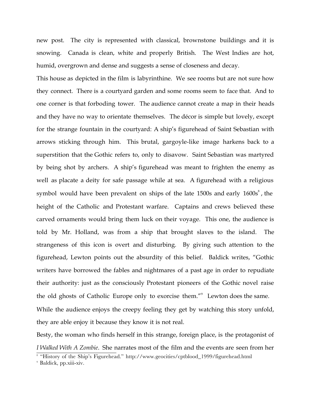new post. The city is represented with classical, brownstone buildings and it is snowing. Canada is clean, white and properly British. The West Indies are hot, humid, overgrown and dense and suggests a sense of closeness and decay.

This house as depicted in the film is labyrinthine. We see rooms but are not sure how they connect. There is a courtyard garden and some rooms seem to face that. And to one corner is that forboding tower. The audience cannot create a map in their heads and they have no way to orientate themselves. The décor is simple but lovely, except for the strange fountain in the courtyard: A ship's figurehead of Saint Sebastian with arrows sticking through him. This brutal, gargoyle-like image harkens back to a superstition that the Gothic refers to, only to disavow. Saint Sebastian was martyred by being shot by archers. A ship's figurehead was meant to frighten the enemy as well as placate a deity for safe passage while at sea. A figurehead with a religious symbol would have been prevalent on ships of the late  $1500s$  and early  $1600s<sup>8</sup>$ , the height of the Catholic and Protestant warfare. Captains and crews believed these carved ornaments would bring them luck on their voyage. This one, the audience is told by Mr. Holland, was from a ship that brought slaves to the island. The strangeness of this icon is overt and disturbing. By giving such attention to the figurehead, Lewton points out the absurdity of this belief. Baldick writes, "Gothic writers have borrowed the fables and nightmares of a past age in order to repudiate their authority: just as the consciously Protestant pioneers of the Gothic novel raise the old ghosts of Catholic Europe only to exorcise them."<sup>9</sup> Lewton does the same. While the audience enjoys the creepy feeling they get by watching this story unfold, they are able enjoy it because they know it is not real.

Besty, the woman who finds herself in this strange, foreign place, is the protagonist of *I Walked With A Zombie*. She narrates most of the film and the events are seen from her

<sup>&</sup>lt;sup>8</sup> "History of the Ship's Figurehead." http://www.geocities/cptblood\_1999/figurehead.html

<sup>9</sup> Baldick, pp.xiii-xiv.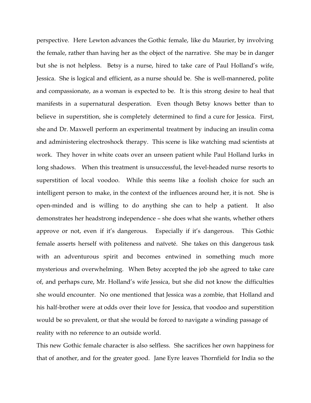perspective. Here Lewton advances the Gothic female, like du Maurier, by involving the female, rather than having her as the object of the narrative. She may be in danger but she is not helpless. Betsy is a nurse, hired to take care of Paul Holland's wife, Jessica. She is logical and efficient, as a nurse should be. She is well-mannered, polite and compassionate, as a woman is expected to be. It is this strong desire to heal that manifests in a supernatural desperation. Even though Betsy knows better than to believe in superstition, she is completely determined to find a cure for Jessica. First, she and Dr. Maxwell perform an experimental treatment by inducing an insulin coma and administering electroshock therapy. This scene is like watching mad scientists at work. They hover in white coats over an unseen patient while Paul Holland lurks in long shadows. When this treatment is unsuccessful, the level-headed nurse resorts to superstition of local voodoo. While this seems like a foolish choice for such an intelligent person to make, in the context of the influences around her, it is not. She is open-minded and is willing to do anything she can to help a patient. It also demonstrates her headstrong independence – she does what she wants, whether others approve or not, even if it's dangerous. Especially if it's dangerous. This Gothic female asserts herself with politeness and naïveté. She takes on this dangerous task with an adventurous spirit and becomes entwined in something much more mysterious and overwhelming. When Betsy accepted the job she agreed to take care of, and perhaps cure, Mr. Holland's wife Jessica, but she did not know the difficulties she would encounter. No one mentioned that Jessica was a zombie, that Holland and his half-brother were at odds over their love for Jessica, that voodoo and superstition would be so prevalent, or that she would be forced to navigate a winding passage of reality with no reference to an outside world.

This new Gothic female character is also selfless. She sacrifices her own happiness for that of another, and for the greater good. Jane Eyre leaves Thornfield for India so the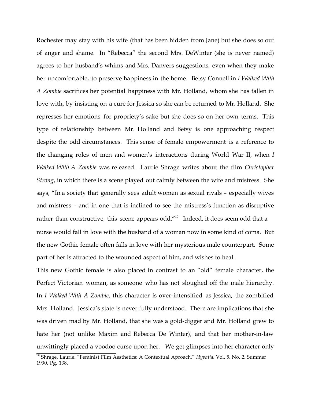Rochester may stay with his wife (that has been hidden from Jane) but she does so out of anger and shame. In "Rebecca" the second Mrs. DeWinter (she is never named) agrees to her husband's whims and Mrs. Danvers suggestions, even when they make her uncomfortable, to preserve happiness in the home. Betsy Connell in *I Walked With A Zombie* sacrifices her potential happiness with Mr. Holland, whom she has fallen in love with, by insisting on a cure for Jessica so she can be returned to Mr. Holland. She represses her emotions for propriety's sake but she does so on her own terms. This type of relationship between Mr. Holland and Betsy is one approaching respect despite the odd circumstances. This sense of female empowerment is a reference to the changing roles of men and women's interactions during World War II, when *I Walked With A Zombie* was released. Laurie Shrage writes about the film *Christopher Strong*, in which there is a scene played out calmly between the wife and mistress. She says, "In a society that generally sees adult women as sexual rivals – especially wives and mistress – and in one that is inclined to see the mistress's function as disruptive rather than constructive, this scene appears odd." $10$  Indeed, it does seem odd that a nurse would fall in love with the husband of a woman now in some kind of coma. But the new Gothic female often falls in love with her mysterious male counterpart. Some part of her is attracted to the wounded aspect of him, and wishes to heal.

This new Gothic female is also placed in contrast to an "old" female character, the Perfect Victorian woman, as someone who has not sloughed off the male hierarchy. In *I Walked With A Zombie*, this character is over-intensified as Jessica, the zombified Mrs. Holland. Jessica's state is never fully understood. There are implications that she was driven mad by Mr. Holland, that she was a gold-digger and Mr. Holland grew to hate her (not unlike Maxim and Rebecca De Winter), and that her mother-in-law unwittingly placed a voodoo curse upon her. We get glimpses into her character only

<sup>&</sup>lt;sup>10</sup> Shrage, Laurie. "Feminist Film Aesthetics: A Contextual Aproach." *Hypatia*. Vol. 5. No. 2. Summer 1990. Pg. 138.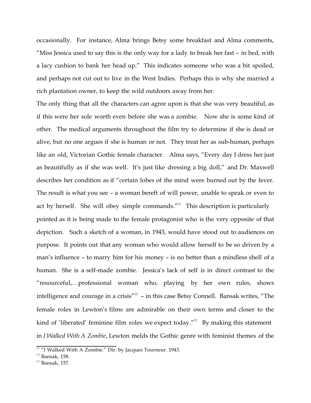occasionally. For instance, Alma brings Betsy some breakfast and Alma comments, "Miss Jessica used to say this is the only way for a lady to break her fast – in bed, with a lacy cushion to bank her head up." This indicates someone who was a bit spoiled, and perhaps not cut out to live in the West Indies. Perhaps this is why she married a rich plantation owner, to keep the wild outdoors away from her.

The only thing that all the characters can agree upon is that she was very beautiful, as if this were her sole worth even before she was a zombie. Now she is some kind of other. The medical arguments throughout the film try to determine if she is dead or alive, but no one argues if she is human or not. They treat her as sub-human, perhaps like an old, Victorian Gothic female character. Alma says, "Every day I dress her just as beautifully as if she was well. It's just like dressing a big doll," and Dr. Maxwell describes her condition as if "certain lobes of the mind were burned out by the fever. The result is what you see – a woman bereft of will power, unable to speak or even to act by herself. She will obey simple commands. $^{\prime\prime 11}$  This description is particularly pointed as it is being made to the female protagonist who is the very opposite of that depiction. Such a sketch of a woman, in 1943, would have stood out to audiences on purpose. It points out that any woman who would allow herself to be so driven by a man's influence – to marry him for his money – is no better than a mindless shell of a human. She is a self-made zombie. Jessica's lack of self is in direct contrast to the "resourceful,…professional woman who, playing by her own rules, shows intelligence and courage in a crisis"<sup>12</sup> – in this case Betsy Connell. Bansak writes, "The female roles in Lewton's films are admirable on their own terms and closer to the kind of 'liberated' feminine film roles we expect today."<sup>13</sup> By making this statement in *I Walked With A Zombie*, Lewton melds the Gothic genre with feminist themes of the

 $11$  "I Walked With A Zombie." Dir. by Jacques Tourneur. 1943.

 $12$  Bansak, 158.

 $13$  Bansak, 157.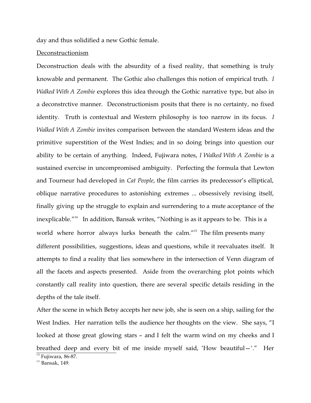day and thus solidified a new Gothic female.

#### Deconstructionism

Deconstruction deals with the absurdity of a fixed reality, that something is truly knowable and permanent. The Gothic also challenges this notion of empirical truth. *I Walked With A Zombie* explores this idea through the Gothic narrative type, but also in a deconstrctive manner. Deconstructionism posits that there is no certainty, no fixed identity. Truth is contextual and Western philosophy is too narrow in its focus. *I Walked With A Zombie* invites comparison between the standard Western ideas and the primitive superstition of the West Indies; and in so doing brings into question our ability to be certain of anything. Indeed, Fujiwara notes, *I Walked With A Zombie* is a sustained exercise in uncompromised ambiguity. Perfecting the formula that Lewton and Tourneur had developed in *Cat People*, the film carries its predecessor's elliptical, oblique narrative procedures to astonishing extremes ... obsessively revising itself, finally giving up the struggle to explain and surrendering to a mute acceptance of the inexplicable."<sup>14</sup> In addition, Bansak writes, "Nothing is as it appears to be. This is a world where horror always lurks beneath the calm."<sup>15</sup> The film presents many different possibilities, suggestions, ideas and questions, while it reevaluates itself. It attempts to find a reality that lies somewhere in the intersection of Venn diagram of all the facets and aspects presented. Aside from the overarching plot points which constantly call reality into question, there are several specific details residing in the depths of the tale itself.

After the scene in which Betsy accepts her new job, she is seen on a ship, sailing for the West Indies. Her narration tells the audience her thoughts on the view. She says, "I looked at those great glowing stars – and I felt the warm wind on my cheeks and I breathed deep and every bit of me inside myself said, 'How beautiful—'." Her  $\frac{1}{14}$  Fujiwara, 86-87.

 $15$  Bansak, 149.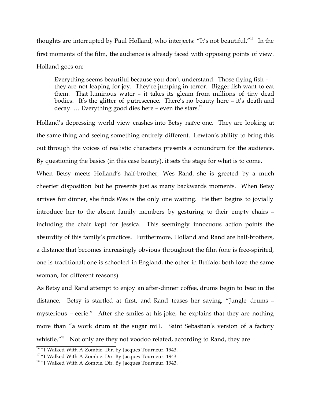thoughts are interrupted by Paul Holland, who interjects: "It's not beautiful."<sup>16</sup> In the first moments of the film, the audience is already faced with opposing points of view. Holland goes on:

Everything seems beautiful because you don't understand. Those flying fish – they are not leaping for joy. They're jumping in terror. Bigger fish want to eat them. That luminous water – it takes its gleam from millions of tiny dead bodies. It's the glitter of putrescence. There's no beauty here – it's death and decay. ... Everything good dies here – even the stars.<sup>17</sup>

Holland's depressing world view crashes into Betsy naïve one. They are looking at the same thing and seeing something entirely different. Lewton's ability to bring this out through the voices of realistic characters presents a conundrum for the audience. By questioning the basics (in this case beauty), it sets the stage for what is to come.

When Betsy meets Holland's half-brother, Wes Rand, she is greeted by a much cheerier disposition but he presents just as many backwards moments. When Betsy arrives for dinner, she finds Wes is the only one waiting. He then begins to jovially introduce her to the absent family members by gesturing to their empty chairs – including the chair kept for Jessica. This seemingly innocuous action points the absurdity of this family's practices. Furthermore, Holland and Rand are half-brothers, a distance that becomes increasingly obvious throughout the film (one is free-spirited, one is traditional; one is schooled in England, the other in Buffalo; both love the same woman, for different reasons).

As Betsy and Rand attempt to enjoy an after-dinner coffee, drums begin to beat in the distance. Betsy is startled at first, and Rand teases her saying, "Jungle drums – mysterious – eerie." After she smiles at his joke, he explains that they are nothing more than "a work drum at the sugar mill. Saint Sebastian's version of a factory whistle."<sup>18</sup> Not only are they not voodoo related, according to Rand, they are

 $16$  "I Walked With A Zombie. Dir. by Jacques Tourneur. 1943.

<sup>&</sup>lt;sup>17</sup> "I Walked With A Zombie. Dir. By Jacques Tourneur. 1943.

<sup>&</sup>lt;sup>18</sup> "I Walked With A Zombie. Dir. By Jacques Tourneur. 1943.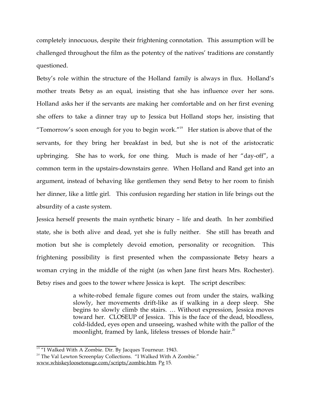completely innocuous, despite their frightening connotation. This assumption will be challenged throughout the film as the potentcy of the natives' traditions are constantly questioned.

Betsy's role within the structure of the Holland family is always in flux. Holland's mother treats Betsy as an equal, insisting that she has influence over her sons. Holland asks her if the servants are making her comfortable and on her first evening she offers to take a dinner tray up to Jessica but Holland stops her, insisting that "Tomorrow's soon enough for you to begin work." $19$  Her station is above that of the servants, for they bring her breakfast in bed, but she is not of the aristocratic upbringing. She has to work, for one thing. Much is made of her "day-off", a common term in the upstairs-downstairs genre. When Holland and Rand get into an argument, instead of behaving like gentlemen they send Betsy to her room to finish her dinner, like a little girl. This confusion regarding her station in life brings out the absurdity of a caste system.

Jessica herself presents the main synthetic binary – life and death. In her zombified state, she is both alive and dead, yet she is fully neither. She still has breath and motion but she is completely devoid emotion, personality or recognition. This frightening possibility is first presented when the compassionate Betsy hears a woman crying in the middle of the night (as when Jane first hears Mrs. Rochester). Betsy rises and goes to the tower where Jessica is kept. The script describes:

> a white-robed female figure comes out from under the stairs, walking slowly, her movements drift-like as if walking in a deep sleep. She begins to slowly climb the stairs. … Without expression, Jessica moves toward her. CLOSEUP of Jessica. This is the face of the dead, bloodless, cold-lidded, eyes open and unseeing, washed white with the pallor of the moonlight, framed by lank, lifeless tresses of blonde hair. $20$

 $19$  "I Walked With A Zombie. Dir. By Jacques Tourneur. 1943.

<sup>&</sup>lt;sup>20</sup> The Val Lewton Screenplay Collections. "I Walked With A Zombie." www.whiskeyloosetonuge.com/scripts/zombie.htm. Pg 15.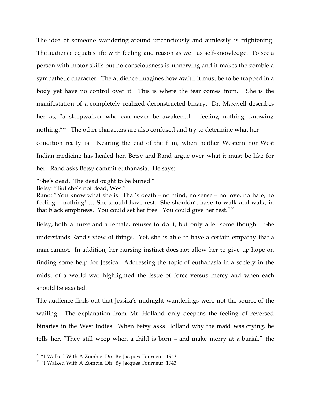The idea of someone wandering around unconciously and aimlessly is frightening. The audience equates life with feeling and reason as well as self-knowledge. To see a person with motor skills but no consciousness is unnerving and it makes the zombie a sympathetic character. The audience imagines how awful it must be to be trapped in a body yet have no control over it. This is where the fear comes from. She is the manifestation of a completely realized deconstructed binary. Dr. Maxwell describes her as, "a sleepwalker who can never be awakened – feeling nothing, knowing nothing. $"^{21}$  The other characters are also confused and try to determine what her

condition really is. Nearing the end of the film, when neither Western nor West Indian medicine has healed her, Betsy and Rand argue over what it must be like for her. Rand asks Betsy commit euthanasia. He says:

"She's dead. The dead ought to be buried."

Betsy: "But she's not dead, Wes."

Rand: "You know what she is! That's death – no mind, no sense – no love, no hate, no feeling – nothing! … She should have rest. She shouldn't have to walk and walk, in that black emptiness. You could set her free. You could give her rest."<sup>22</sup>

Betsy, both a nurse and a female, refuses to do it, but only after some thought. She understands Rand's view of things. Yet, she is able to have a certain empathy that a man cannot. In addition, her nursing instinct does not allow her to give up hope on finding some help for Jessica. Addressing the topic of euthanasia in a society in the midst of a world war highlighted the issue of force versus mercy and when each should be exacted.

The audience finds out that Jessica's midnight wanderings were not the source of the wailing. The explanation from Mr. Holland only deepens the feeling of reversed binaries in the West Indies. When Betsy asks Holland why the maid was crying, he tells her, "They still weep when a child is born – and make merry at a burial," the

 $21$  "I Walked With A Zombie. Dir. By Jacques Tourneur. 1943.

<sup>&</sup>lt;sup>22</sup> "I Walked With A Zombie. Dir. By Jacques Tourneur. 1943.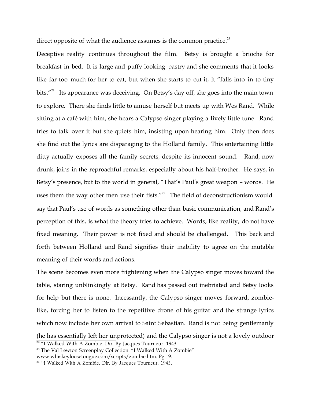direct opposite of what the audience assumes is the common practice. $23$ 

Deceptive reality continues throughout the film. Betsy is brought a brioche for breakfast in bed. It is large and puffy looking pastry and she comments that it looks like far too much for her to eat, but when she starts to cut it, it "falls into in to tiny bits."<sup>24</sup> Its appearance was deceiving. On Betsy's day off, she goes into the main town to explore. There she finds little to amuse herself but meets up with Wes Rand. While sitting at a café with him, she hears a Calypso singer playing a lively little tune. Rand tries to talk over it but she quiets him, insisting upon hearing him. Only then does she find out the lyrics are disparaging to the Holland family. This entertaining little ditty actually exposes all the family secrets, despite its innocent sound. Rand, now drunk, joins in the reproachful remarks, especially about his half-brother. He says, in Betsy's presence, but to the world in general, "That's Paul's great weapon – words. He uses them the way other men use their fists. $125$  The field of deconstructionism would say that Paul's use of words as something other than basic communication, and Rand's perception of this, is what the theory tries to achieve. Words, like reality, do not have fixed meaning. Their power is not fixed and should be challenged. This back and forth between Holland and Rand signifies their inability to agree on the mutable meaning of their words and actions.

The scene becomes even more frightening when the Calypso singer moves toward the table, staring unblinkingly at Betsy. Rand has passed out inebriated and Betsy looks for help but there is none. Incessantly, the Calypso singer moves forward, zombielike, forcing her to listen to the repetitive drone of his guitar and the strange lyrics which now include her own arrival to Saint Sebastian. Rand is not being gentlemanly (he has essentially left her unprotected) and the Calypso singer is not a lovely outdoor  $\frac{23}{41}$  Walked With A Zombie. Dir. By Jacques Tourneur. 1943.

<sup>&</sup>lt;sup>24</sup> The Val Lewton Screenplay Collection. "I Walked With A Zombie" www.whiskeyloosetongue.com/scripts/zombie.htm. Pg 19.

<sup>&</sup>lt;sup>25</sup> "I Walked With A Zombie. Dir. By Jacques Tourneur. 1943.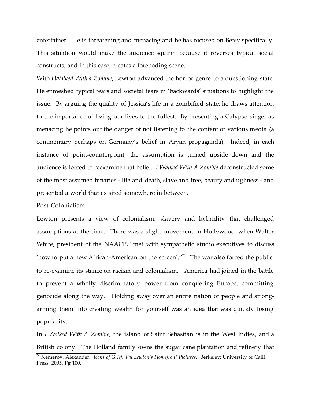entertainer. He is threatening and menacing and he has focused on Betsy specifically. This situation would make the audience squirm because it reverses typical social constructs, and in this case, creates a foreboding scene.

With *I Walked With a Zombie*, Lewton advanced the horror genre to a questioning state. He enmeshed typical fears and societal fears in 'backwards' situations to highlight the issue. By arguing the quality of Jessica's life in a zombified state, he draws attention to the importance of living our lives to the fullest. By presenting a Calypso singer as menacing he points out the danger of not listening to the content of various media (a commentary perhaps on Germany's belief in Aryan propaganda). Indeed, in each instance of point-counterpoint, the assumption is turned upside down and the audience is forced to reexamine that belief. *I Walked With A Zombie* deconstructed some of the most assumed binaries - life and death, slave and free, beauty and ugliness - and presented a world that exisited somewhere in between.

#### Post-Colonialism

Lewton presents a view of colonialism, slavery and hybridity that challenged assumptions at the time. There was a slight movement in Hollywood when Walter White, president of the NAACP, "met with sympathetic studio executives to discuss 'how to put a new African-American on the screen'."<sup>26</sup> The war also forced the public to re-examine its stance on racism and colonialism. America had joined in the battle to prevent a wholly discriminatory power from conquering Europe, committing genocide along the way. Holding sway over an entire nation of people and strongarming them into creating wealth for yourself was an idea that was quickly losing popularity.

In *I Walked With A Zombie*, the island of Saint Sebastian is in the West Indies, and a British colony. The Holland family owns the sugar cane plantation and refinery that

<sup>&</sup>lt;sup>26</sup> Nemerov, Alexander. *Icons of Grief: Val Lewton's Homefront Pictures*. Berkeley: University of Calif. Press, 2005. Pg 100.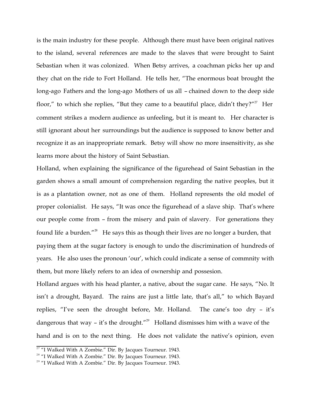is the main industry for these people. Although there must have been original natives to the island, several references are made to the slaves that were brought to Saint Sebastian when it was colonized. When Betsy arrives, a coachman picks her up and they chat on the ride to Fort Holland. He tells her, "The enormous boat brought the long-ago Fathers and the long-ago Mothers of us all – chained down to the deep side floor," to which she replies, "But they came to a beautiful place, didn't they?"<sup>27</sup> Her comment strikes a modern audience as unfeeling, but it is meant to. Her character is still ignorant about her surroundings but the audience is supposed to know better and recognize it as an inappropriate remark. Betsy will show no more insensitivity, as she learns more about the history of Saint Sebastian.

Holland, when explaining the significance of the figurehead of Saint Sebastian in the garden shows a small amount of comprehension regarding the native peoples, but it is as a plantation owner, not as one of them. Holland represents the old model of proper colonialist. He says, "It was once the figurehead of a slave ship. That's where our people come from – from the misery and pain of slavery. For generations they found life a burden."<sup>28</sup> He says this as though their lives are no longer a burden, that paying them at the sugar factory is enough to undo the discrimination of hundreds of years. He also uses the pronoun 'our', which could indicate a sense of commnity with them, but more likely refers to an idea of ownership and possesion.

Holland argues with his head planter, a native, about the sugar cane. He says, "No. It isn't a drought, Bayard. The rains are just a little late, that's all," to which Bayard replies, "I've seen the drought before, Mr. Holland. The cane's too dry – it's dangerous that way - it's the drought."<sup>29</sup> Holland dismisses him with a wave of the hand and is on to the next thing. He does not validate the native's opinion, even

 $\frac{27 \text{ }\mu}{100}$  Walked With A Zombie." Dir. By Jacques Tourneur. 1943.

<sup>&</sup>lt;sup>28</sup> "I Walked With A Zombie." Dir. By Jacques Tourneur. 1943.

<sup>&</sup>lt;sup>29</sup> "I Walked With A Zombie." Dir. By Jacques Tourneur. 1943.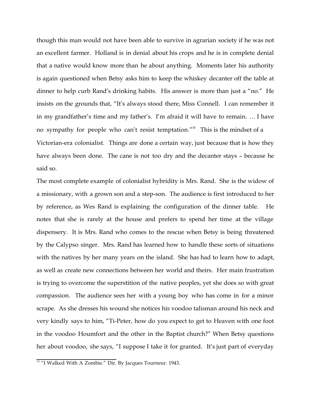though this man would not have been able to survive in agrarian society if he was not an excellent farmer. Holland is in denial about his crops and he is in complete denial that a native would know more than he about anything. Moments later his authority is again questioned when Betsy asks him to keep the whiskey decanter off the table at dinner to help curb Rand's drinking habits. His answer is more than just a "no." He insists on the grounds that, "It's always stood there, Miss Connell. I can remember it in my grandfather's time and my father's. I'm afraid it will have to remain. … I have no sympathy for people who can't resist temptation."<sup>30</sup> This is the mindset of a Victorian-era colonialist. Things are done a certain way, just because that is how they have always been done. The cane is not too dry and the decanter stays – because he said so.

The most complete example of colonialist hybridity is Mrs. Rand. She is the widow of a missionary, with a grown son and a step-son. The audience is first introduced to her by reference, as Wes Rand is explaining the configuration of the dinner table. He notes that she is rarely at the house and prefers to spend her time at the village dispensery. It is Mrs. Rand who comes to the rescue when Betsy is being threatened by the Calypso singer. Mrs. Rand has learned how to handle these sorts of situations with the natives by her many years on the island. She has had to learn how to adapt, as well as create new connections between her world and theirs. Her main frustration is trying to overcome the superstition of the native peoples, yet she does so with great compassion. The audience sees her with a young boy who has come in for a minor scrape. As she dresses his wound she notices his voodoo talisman around his neck and very kindly says to him, "Ti-Peter, how do you expect to get to Heaven with one foot in the voodoo Houmfort and the other in the Baptist church?" When Betsy questions her about voodoo, she says, "I suppose I take it for granted. It's just part of everyday

 $30$  "I Walked With A Zombie." Dir. By Jacques Tourneur. 1943.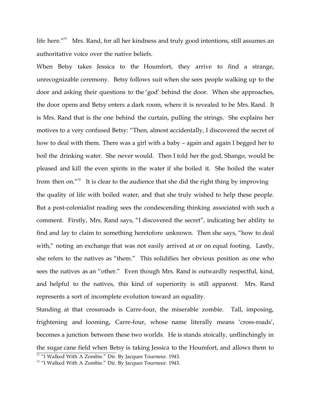life here." $31$  Mrs. Rand, for all her kindness and truly good intentions, still assumes an authoritative voice over the native beliefs.

When Betsy takes Jessica to the Houmfort, they arrive to find a strange, unrecognizable ceremony. Betsy follows suit when she sees people walking up to the door and asking their questions to the 'god' behind the door. When she approaches, the door opens and Betsy enters a dark room, where it is revealed to be Mrs. Rand. It is Mrs. Rand that is the one behind the curtain, pulling the strings. She explains her motives to a very confused Betsy: "Then, almost accidentally, I discovered the secret of how to deal with them. There was a girl with a baby – again and again I begged her to boil the drinking water. She never would. Then I told her the god, Shango, would be pleased and kill the even spirits in the water if she boiled it. She boiled the water from then on."<sup>32</sup> It is clear to the audience that she did the right thing by improving the quality of life with boiled water, and that she truly wished to help these people. But a post-colonialist reading sees the condescending thinking associated with such a comment. Firstly, Mrs. Rand says, "I discovered the secret", indicating her ability to find and lay to claim to something heretofore unknown. Then she says, "how to deal with," noting an exchange that was not easily arrived at or on equal footing. Lastly, she refers to the natives as "them." This solidifies her obvious position as one who sees the natives as an "other." Even though Mrs. Rand is outwardly respectful, kind, and helpful to the natives, this kind of superiority is still apparent. Mrs. Rand represents a sort of incomplete evolution toward an equality.

Standing at that crossroads is Carre-four, the miserable zombie. Tall, imposing, frightening and looming, Carre-four, whose name literally means 'cross-roads', becomes a junction between these two worlds. He is stands stoically, unflinchingly in the sugar cane field when Betsy is taking Jessica to the Houmfort, and allows them to

<sup>&</sup>lt;sup>31</sup> "I Walked With A Zombie." Dir. By Jacques Tourneur. 1943.

<sup>&</sup>lt;sup>32</sup> "I Walked With A Zombie." Dir. By Jacques Tourneur. 1943.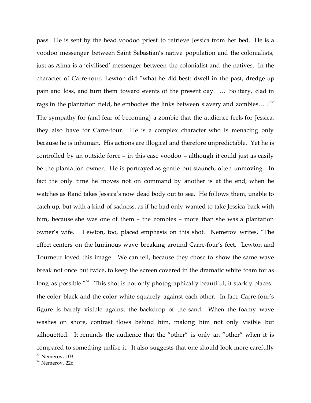pass. He is sent by the head voodoo priest to retrieve Jessica from her bed. He is a voodoo messenger between Saint Sebastian's native population and the colonialists, just as Alma is a 'civilised' messenger between the colonialist and the natives. In the character of Carre-four, Lewton did "what he did best: dwell in the past, dredge up pain and loss, and turn them toward events of the present day. … Solitary, clad in rags in the plantation field, he embodies the links between slavery and zombies... ."<sup>33</sup> The sympathy for (and fear of becoming) a zombie that the audience feels for Jessica, they also have for Carre-four. He is a complex character who is menacing only because he is inhuman. His actions are illogical and therefore unpredictable. Yet he is controlled by an outside force – in this case voodoo – although it could just as easily be the plantation owner. He is portrayed as gentle but staunch, often unmoving. In fact the only time he moves not on command by another is at the end, when he watches as Rand takes Jessica's now dead body out to sea. He follows them, unable to catch up, but with a kind of sadness, as if he had only wanted to take Jessica back with him, because she was one of them – the zombies – more than she was a plantation owner's wife. Lewton, too, placed emphasis on this shot. Nemerov writes, "The effect centers on the luminous wave breaking around Carre-four's feet. Lewton and Tourneur loved this image. We can tell, because they chose to show the same wave break not once but twice, to keep the screen covered in the dramatic white foam for as long as possible."<sup>34</sup> This shot is not only photographically beautiful, it starkly places the color black and the color white squarely against each other. In fact, Carre-four's figure is barely visible against the backdrop of the sand. When the foamy wave washes on shore, contrast flows behind him, making him not only visible but silhouetted. It reminds the audience that the "other" is only an "other" when it is compared to something unlike it. It also suggests that one should look more carefully

 $\frac{33}{33}$  Nemerov, 103.

 $34$  Nemerov, 226.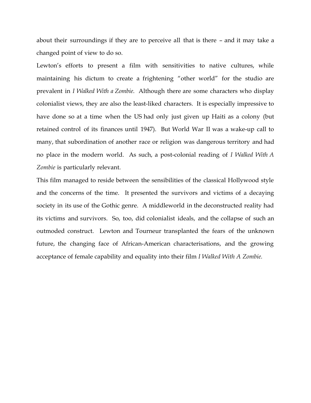about their surroundings if they are to perceive all that is there – and it may take a changed point of view to do so.

Lewton's efforts to present a film with sensitivities to native cultures, while maintaining his dictum to create a frightening "other world" for the studio are prevalent in *I Walked With a Zombie*. Although there are some characters who display colonialist views, they are also the least-liked characters. It is especially impressive to have done so at a time when the US had only just given up Haiti as a colony (but retained control of its finances until 1947). But World War II was a wake-up call to many, that subordination of another race or religion was dangerous territory and had no place in the modern world. As such, a post-colonial reading of *I Walked With A Zombie* is particularly relevant.

This film managed to reside between the sensibilities of the classical Hollywood style and the concerns of the time. It presented the survivors and victims of a decaying society in its use of the Gothic genre. A middleworld in the deconstructed reality had its victims and survivors. So, too, did colonialist ideals, and the collapse of such an outmoded construct. Lewton and Tourneur transplanted the fears of the unknown future, the changing face of African-American characterisations, and the growing acceptance of female capability and equality into their film *I Walked With A Zombie.*